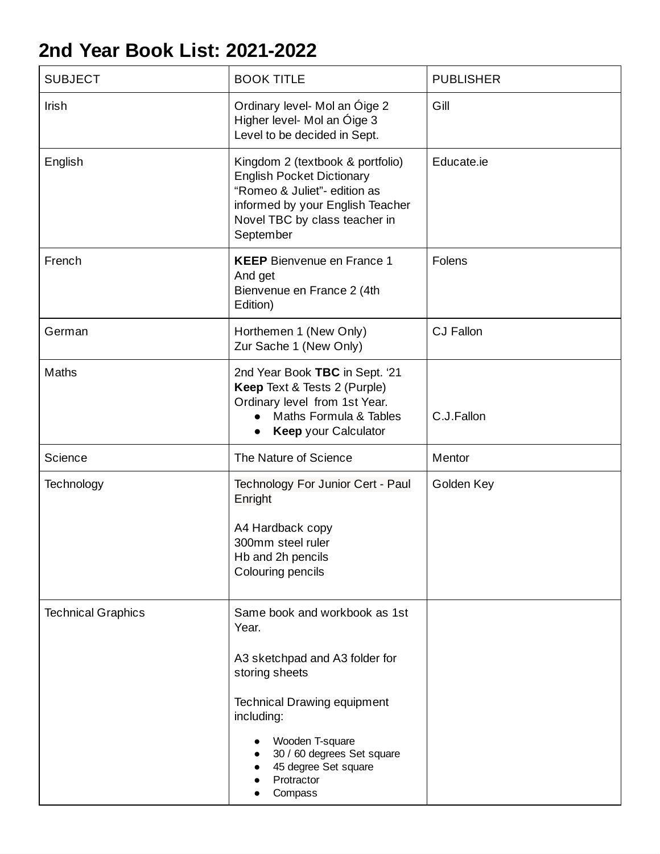## **2nd Year Book List: 2021-2022**

| <b>SUBJECT</b>            | <b>BOOK TITLE</b>                                                                                                                                                                                                                                | <b>PUBLISHER</b> |
|---------------------------|--------------------------------------------------------------------------------------------------------------------------------------------------------------------------------------------------------------------------------------------------|------------------|
| Irish                     | Ordinary level- Mol an Óige 2<br>Higher level- Mol an Óige 3<br>Level to be decided in Sept.                                                                                                                                                     | Gill             |
| English                   | Kingdom 2 (textbook & portfolio)<br><b>English Pocket Dictionary</b><br>"Romeo & Juliet"- edition as<br>informed by your English Teacher<br>Novel TBC by class teacher in<br>September                                                           | Educate.ie       |
| French                    | <b>KEEP</b> Bienvenue en France 1<br>And get<br>Bienvenue en France 2 (4th<br>Edition)                                                                                                                                                           | Folens           |
| German                    | Horthemen 1 (New Only)<br>Zur Sache 1 (New Only)                                                                                                                                                                                                 | <b>CJ Fallon</b> |
| Maths                     | 2nd Year Book TBC in Sept. '21<br>Keep Text & Tests 2 (Purple)<br>Ordinary level from 1st Year.<br>Maths Formula & Tables<br>Keep your Calculator                                                                                                | C.J.Fallon       |
| Science                   | The Nature of Science                                                                                                                                                                                                                            | Mentor           |
| Technology                | Technology For Junior Cert - Paul<br>Enright<br>A4 Hardback copy<br>300mm steel ruler<br>Hb and 2h pencils<br>Colouring pencils                                                                                                                  | Golden Key       |
| <b>Technical Graphics</b> | Same book and workbook as 1st<br>Year.<br>A3 sketchpad and A3 folder for<br>storing sheets<br><b>Technical Drawing equipment</b><br>including:<br>Wooden T-square<br>30 / 60 degrees Set square<br>45 degree Set square<br>Protractor<br>Compass |                  |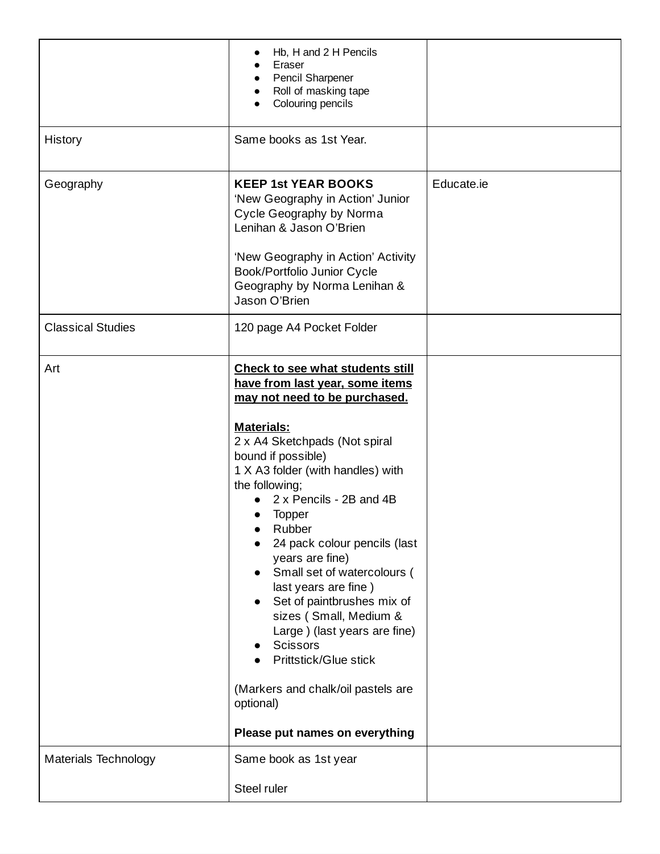|                          | Hb, H and 2 H Pencils<br>Eraser<br>Pencil Sharpener<br>Roll of masking tape<br>Colouring pencils                                                                                                                                                                                                                                                                                                                                                                                                                                                                                                                                  |            |
|--------------------------|-----------------------------------------------------------------------------------------------------------------------------------------------------------------------------------------------------------------------------------------------------------------------------------------------------------------------------------------------------------------------------------------------------------------------------------------------------------------------------------------------------------------------------------------------------------------------------------------------------------------------------------|------------|
| History                  | Same books as 1st Year.                                                                                                                                                                                                                                                                                                                                                                                                                                                                                                                                                                                                           |            |
| Geography                | <b>KEEP 1st YEAR BOOKS</b><br>'New Geography in Action' Junior<br>Cycle Geography by Norma<br>Lenihan & Jason O'Brien<br>'New Geography in Action' Activity<br>Book/Portfolio Junior Cycle<br>Geography by Norma Lenihan &<br>Jason O'Brien                                                                                                                                                                                                                                                                                                                                                                                       | Educate.ie |
| <b>Classical Studies</b> | 120 page A4 Pocket Folder                                                                                                                                                                                                                                                                                                                                                                                                                                                                                                                                                                                                         |            |
| Art                      | <b>Check to see what students still</b><br>have from last year, some items<br>may not need to be purchased.<br>Materials:<br>2 x A4 Sketchpads (Not spiral<br>bound if possible)<br>1 X A3 folder (with handles) with<br>the following;<br>2 x Pencils - 2B and 4B<br><b>Topper</b><br>Rubber<br>24 pack colour pencils (last<br>years are fine)<br>Small set of watercolours (<br>last years are fine)<br>Set of paintbrushes mix of<br>sizes (Small, Medium &<br>Large ) (last years are fine)<br><b>Scissors</b><br>Prittstick/Glue stick<br>(Markers and chalk/oil pastels are<br>optional)<br>Please put names on everything |            |
| Materials Technology     | Same book as 1st year<br>Steel ruler                                                                                                                                                                                                                                                                                                                                                                                                                                                                                                                                                                                              |            |